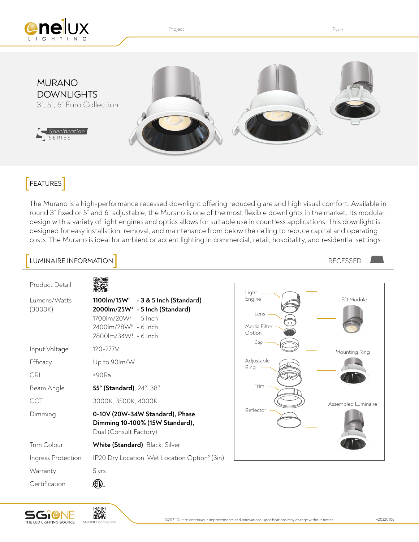

Project **Type Internal Contract Contract Contract Contract Contract Contract Contract Contract Contract Contract Contract Contract Contract Contract Contract Contract Contract Contract Contract Contract Contract Contract C** 



#### FEATURES

The Murano is a high-performance recessed downlight offering reduced glare and high visual comfort. Available in round 3" fixed or 5" and 6" adjustable, the Murano is one of the most flexible downlights in the market. Its modular design with a variety of light engines and optics allows for suitable use in countless applications. This downlight is designed for easy installation, removal, and maintenance from below the ceiling to reduce capital and operating costs. The Murano is ideal for ambient or accent lighting in commercial, retail, hospitality, and residential settings.

#### LUMINAIRE INFORMATION Product Detail Light LED Module Engine Lumens/Watts **1100lm/15W1 - 3 & 5 Inch (Standard)**  (3000K) **2000lm/25W2 - 5 Inch (Standard)** Lens 1700lm/20W2 - 5 Inch 2400lm/28W3 - 6 Inch Media Filter Option 2800lm/34W3 - 6 Inch Cap Input Voltage 120-277V Mounting Ring Adjustable Efficacy Up to 90lm/W Ring CRI >90Ra Trim Beam Angle **55° (Standard)**, 24°, 38° CCT 3000K, 3500K, 4000K Assembled Luminaire Reflector Dimming **0-10V (20W-34W Standard), Phase Dimming 10-100% (15W Standard),** Dual (Consult Factory) Trim Colour **White (Standard)**, Black, Silver Ingress Protection IP20 Dry Location, Wet Location Option<sup>5</sup> (3in) Warranty 5 yrs  $\mathbb{G}$ **Certification**



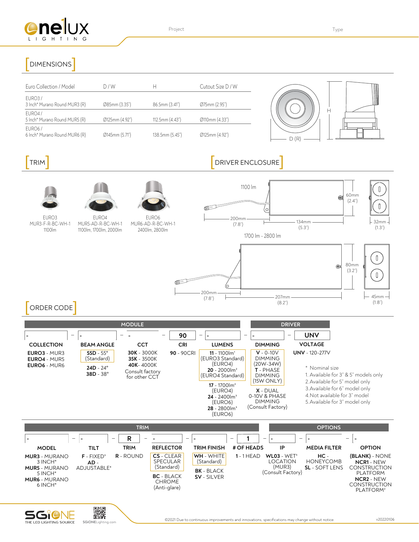

Project **Type Internal Contract Contract Contract Contract Contract Contract Contract Contract Contract Contract Contract Contract Contract Contract Contract Contract Contract Contract Contract Contract Contract Contract C** 

# DIMENSIONS

| Euro Collection / Model                              | D/W            |                 | Cutout Size D / W |
|------------------------------------------------------|----------------|-----------------|-------------------|
| EURO3/<br>3 Inch* Murano Round MUR3 (R)              | Ø85mm (3.35")  | 86.5mm (3.41")  | Ø75mm (2.95")     |
| EURO4/<br>5 Inch* Murano Round MUR5 (R)              | Ø125mm (4.92") | 112.5mm (4.43") | Ø110mm (4.33")    |
| EURO <sub>6</sub> /<br>6 Inch* Murano Round MUR6 (R) | Ø145mm (5.71") | 138.5mm (5.45") | Ø125mm (4.92")    |

## **EXAMPLE TRIM**  $\blacksquare$  DRIVER ENCLOSURE



MUR3-F-R-BC-WH-1 1100lm



EURO4 MUR5-AD-R-BC-WH-1 1100lm, 1700lm, 2000lm

EURO6

MUR6-AD-R-BC-WH-1 2400lm, 2800lm



(8.2")

### [ORDER CODE]

|                                                                   |                                                                              | <b>MODULE</b>                                                                      |            | <b>DRIVER</b>                                                                                                                                                                                                                             |                                                                                                                                                                            |                                                                                                                                                                                                                        |
|-------------------------------------------------------------------|------------------------------------------------------------------------------|------------------------------------------------------------------------------------|------------|-------------------------------------------------------------------------------------------------------------------------------------------------------------------------------------------------------------------------------------------|----------------------------------------------------------------------------------------------------------------------------------------------------------------------------|------------------------------------------------------------------------------------------------------------------------------------------------------------------------------------------------------------------------|
|                                                                   |                                                                              | $\hspace{0.05cm}$                                                                  | 90         | $\overline{\phantom{0}}$                                                                                                                                                                                                                  |                                                                                                                                                                            | <b>UNV</b><br>—                                                                                                                                                                                                        |
| <b>COLLECTION</b>                                                 | <b>BEAM ANGLE</b>                                                            | CCT                                                                                | <b>CRI</b> | <b>LUMENS</b>                                                                                                                                                                                                                             | <b>DIMMING</b>                                                                                                                                                             | <b>VOLTAGE</b>                                                                                                                                                                                                         |
| <b>EURO3</b> - MUR3<br><b>EURO4 - MUR5</b><br><b>EURO6 - MUR6</b> | $55D - 55^{\circ}$<br>(Standard)<br>$24D - 24^{\circ}$<br>$38D - 38^{\circ}$ | <b>30K</b> - 3000K<br>35K - 3500K<br>40K-4000K<br>Consult factory<br>for other CCT | 90 - 90CRI | $11 - 1100$ $\text{Im}^1$<br>(EURO3 Standard)<br>(EURO4)<br>$20 - 2000$ lm <sup>2</sup><br>(EURO4 Standard)<br>$17 - 1700$ lm <sup>2</sup><br>(EURO4)<br>$24 - 2400$ lm <sup>3</sup><br>(EURO6)<br>$28 - 2800$ lm <sup>3</sup><br>(EURO6) | $V - 0 - 10V$<br><b>DIMMING</b><br>$(20W - 34W)$<br><b>T</b> - PHASE<br><b>DIMMING</b><br>(15W ONLY)<br>$X - DUAL$<br>0-10V & PHASE<br><b>DIMMING</b><br>(Consult Factory) | <b>UNV</b> - 120-277V<br>* Nominal size<br>1. Available for 3" & 5" models only<br>2. Available for 5" model only<br>3. Available for 6" model only<br>4. Not available for 3" model<br>5. Available for 3" model only |

|                                                                                                                         |                                                   |                                       | <b>OPTIONS</b>                                                                                    |                                                              |                                        |                                                            |                                                   |                                                                                                                                                    |
|-------------------------------------------------------------------------------------------------------------------------|---------------------------------------------------|---------------------------------------|---------------------------------------------------------------------------------------------------|--------------------------------------------------------------|----------------------------------------|------------------------------------------------------------|---------------------------------------------------|----------------------------------------------------------------------------------------------------------------------------------------------------|
| <b>MODEL</b>                                                                                                            | $\overline{\phantom{0}}$<br>TILT                  | R<br>$\overline{\phantom{a}}$<br>TRIM | <b>REFLECTOR</b>                                                                                  | <b>TRIM FINISH</b>                                           | $\overline{\phantom{0}}$<br># OF HEADS | $\overline{\phantom{a}}$<br>$\overline{\phantom{0}}$<br>IP | <b>MEDIA FILTER</b>                               | $\overline{\phantom{0}}$<br><b>OPTION</b>                                                                                                          |
| <b>MUR3</b> - MURANO<br>$3$ INCH <sup>*</sup><br><b>MUR5</b> - MURANO<br>$5$ INCH*<br><b>MUR6</b> - MURANO<br>$6$ INCH* | $F - FIXEDs$<br>$AD -$<br>ADJUSTABLE <sup>4</sup> | $R - ROUND$                           | CS - CLEAR<br><b>SPECULAR</b><br>(Standard)<br><b>BC</b> - BLACK<br><b>CHROME</b><br>(Anti-glare) | WH - WHITE<br>(Standard)<br><b>BK</b> - BLACK<br>SV - SILVER | $1 - 1$ HEAD                           | $WLO3 - WET5$<br>LOCATION<br>(MUR3)<br>(Consult Factory)   | HC -<br><b>HONEYCOMB</b><br><b>SL</b> - SOFT LENS | (BLANK) - NONE<br><b>NCR1</b> - NEW<br><b>CONSTRUCTION</b><br><b>PLATFORM</b><br><b>NCR2 - NEW</b><br><b>CONSTRUCTION</b><br>PLATFORM <sup>2</sup> |



(1.8")